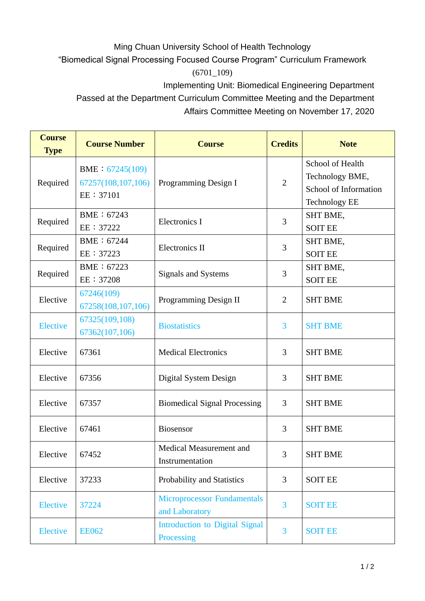## Ming Chuan University School of Health Technology

"Biomedical Signal Processing Focused Course Program" Curriculum Framework

(6701\_109)

Implementing Unit: Biomedical Engineering Department

Passed at the Department Curriculum Committee Meeting and the Department Affairs Committee Meeting on November 17, 2020

| <b>Course</b><br><b>Type</b> | <b>Course Number</b>                               | <b>Course</b>                                        | <b>Credits</b> | <b>Note</b>                                                                          |
|------------------------------|----------------------------------------------------|------------------------------------------------------|----------------|--------------------------------------------------------------------------------------|
| Required                     | BME: 67245(109)<br>67257(108,107,106)<br>EE: 37101 | Programming Design I                                 | $\overline{2}$ | School of Health<br>Technology BME,<br>School of Information<br><b>Technology EE</b> |
| Required                     | BME: 67243<br>EE: 37222                            | <b>Electronics I</b>                                 | 3              | SHT BME,<br><b>SOIT EE</b>                                                           |
| Required                     | BME: 67244<br>EE: 37223                            | <b>Electronics II</b>                                | 3              | SHT BME,<br><b>SOIT EE</b>                                                           |
| Required                     | BME: 67223<br>EE: 37208                            | Signals and Systems                                  | 3              | SHT BME,<br><b>SOIT EE</b>                                                           |
| Elective                     | 67246(109)<br>67258(108,107,106)                   | Programming Design II                                | $\overline{2}$ | <b>SHT BME</b>                                                                       |
| <b>Elective</b>              | 67325(109,108)<br>67362(107,106)                   | <b>Biostatistics</b>                                 | 3              | <b>SHT BME</b>                                                                       |
| Elective                     | 67361                                              | <b>Medical Electronics</b>                           | 3              | <b>SHT BME</b>                                                                       |
| Elective                     | 67356                                              | Digital System Design                                | 3              | <b>SHT BME</b>                                                                       |
| Elective                     | 67357                                              | <b>Biomedical Signal Processing</b>                  | 3              | <b>SHT BME</b>                                                                       |
| Elective                     | 67461                                              | Biosensor                                            | 3              | <b>SHT BME</b>                                                                       |
| Elective                     | 67452                                              | Medical Measurement and<br>Instrumentation           | 3              | <b>SHT BME</b>                                                                       |
| Elective                     | 37233                                              | Probability and Statistics                           | 3              | <b>SOIT EE</b>                                                                       |
| <b>Elective</b>              | 37224                                              | <b>Microprocessor Fundamentals</b><br>and Laboratory | $\overline{3}$ | <b>SOIT EE</b>                                                                       |
| <b>Elective</b>              | <b>EE062</b>                                       | <b>Introduction to Digital Signal</b><br>Processing  | 3              | <b>SOIT EE</b>                                                                       |